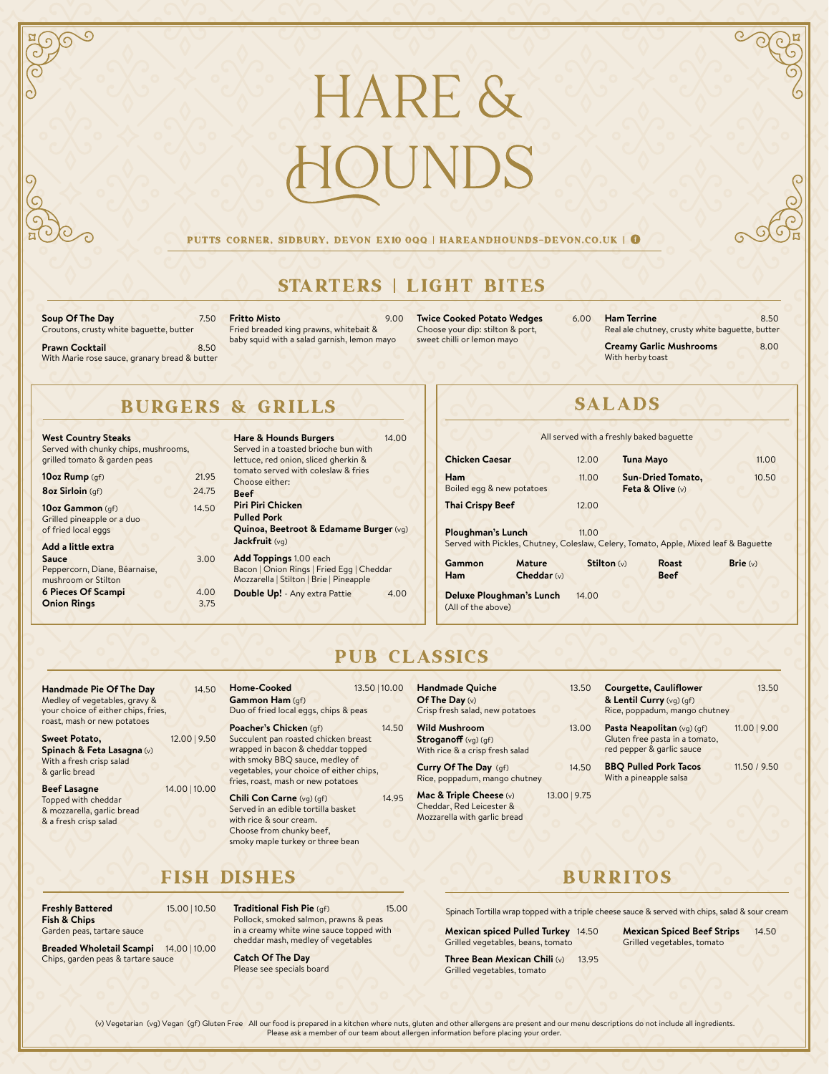# hare & JNDS

#### PUTTS CORNER, SIDBURY, DEVON EX10 0QQ | HAREANDHOUNDS-DEVON.CO.UK | 6

### STARTERS | LIGHT BITES

**Soup Of The Day** 7.50 Croutons, crusty white baguette, butter

**Prawn Cocktail 8.50** With Marie rose sauce, granary bread & butter **Fritto Misto** 9.00 Fried breaded king prawns, whitebait & baby squid with a salad garnish, lemon mayo

**Twice Cooked Potato Wedges** 6.00 Choose your dip: stilton & port, sweet chilli or lemon mayo

**Ham Terrine 8.50** Real ale chutney, crusty white baguette, butter **Creamy Garlic Mushrooms** 8.00 With herby toast

### BURGERS & GRILLS

| <b>West Country Steaks</b><br>Served with chunky chips, mushrooms,<br>grilled tomato & garden peas |       |  |
|----------------------------------------------------------------------------------------------------|-------|--|
| 10oz Rump (gf)                                                                                     | 21.95 |  |
| <b>8oz Sirloin</b> (qf)                                                                            | 24.75 |  |
| 10oz Gammon (qf)<br>Grilled pineapple or a duo<br>of fried local eggs                              | 14.50 |  |
| Add a little extra<br><b>Sauce</b><br>Peppercorn, Diane, Béarnaise,<br>mushroom or Stilton         | 3.00  |  |
| <b>6 Pieces Of Scampi</b>                                                                          | 4.00  |  |
| <b>Onion Rings</b>                                                                                 | 3.75  |  |

| <b>Hare &amp; Hounds Burgers</b>          | 14.00 |
|-------------------------------------------|-------|
| Served in a toasted brioche bun with      |       |
| lettuce, red onion, sliced gherkin &      |       |
| tomato served with coleslaw & fries       |       |
| Choose either:                            |       |
| Beef                                      |       |
| <b>Piri Piri Chicken</b>                  |       |
| <b>Pulled Pork</b>                        |       |
| Quinoa, Beetroot & Edamame Burger (vg)    |       |
| Jackfruit (vg)                            |       |
|                                           |       |
| <b>Add Toppings 1.00 each</b>             |       |
| Bacon   Onion Rings   Fried Egg   Cheddar |       |
| Mozzarella   Stilton   Brie   Pineapple   |       |
| Double Up! - Any extra Pattie             | 4.00  |
|                                           |       |

## SALADS

|                                                |                                |             | All served with a freshly baked baguette                                             |            |
|------------------------------------------------|--------------------------------|-------------|--------------------------------------------------------------------------------------|------------|
| <b>Chicken Caesar</b>                          |                                | 12.00       | <b>Tuna Mayo</b>                                                                     | 11.00      |
| <b>Ham</b><br>Boiled egg & new potatoes        |                                | 11.00       | <b>Sun-Dried Tomato,</b><br>Feta & Olive (v)                                         | 10.50      |
| <b>Thai Crispy Beef</b>                        |                                | 12.00       |                                                                                      |            |
| <b>Ploughman's Lunch</b>                       |                                | 11.00       | Served with Pickles, Chutney, Coleslaw, Celery, Tomato, Apple, Mixed leaf & Baguette |            |
| Gammon<br><b>Ham</b>                           | <b>Mature</b><br>Cheddar $(v)$ | Stilton (v) | <b>Roast</b><br><b>Beef</b>                                                          | Brie $(v)$ |
| Deluxe Ploughman's Lunch<br>(All of the above) |                                | 14.00       |                                                                                      |            |

### PUB CLASSICS

| <b>Handmade Pie Of The Day</b>      | 14.50         | <b>Home-Cooked</b>                       | 13.50   10.00 | Handmade Qu               |
|-------------------------------------|---------------|------------------------------------------|---------------|---------------------------|
| Medley of vegetables, gravy &       |               | Gammon Ham (gf)                          |               | Of The Day $(v)$          |
| your choice of either chips, fries, |               | Duo of fried local eggs, chips & peas    |               | Crisp fresh sala          |
| roast, mash or new potatoes         |               | Poacher's Chicken (gf)                   | 14.50         | <b>Wild Mushroo</b>       |
| <b>Sweet Potato,</b>                | 12.00   9.50  | Succulent pan roasted chicken breast     |               | <b>Stroganoff</b> (vg     |
| Spinach & Feta Lasagna (v)          |               | wrapped in bacon & cheddar topped        |               | With rice & a cr          |
| With a fresh crisp salad            |               | with smoky BBQ sauce, medley of          |               |                           |
| & garlic bread                      |               | vegetables, your choice of either chips, |               | <b>Curry Of The</b>       |
|                                     |               | fries, roast, mash or new potatoes       |               | Rice, poppadum            |
| <b>Beef Lasagne</b>                 | 14.00   10.00 |                                          |               | <b>Mac &amp; Triple C</b> |
| Topped with cheddar                 |               | Chili Con Carne (vg) (gf)                | 14.95         |                           |
| & mozzarella, garlic bread          |               | Served in an edible tortilla basket      |               | Cheddar, Red L            |
| & a fresh crisp salad               |               | with rice & sour cream.                  |               | Mozzarella with           |
|                                     |               | Choose from chunky beef,                 |               |                           |

| <b>Handmade Quiche</b><br>Of The Day $(v)$<br>Crisp fresh salad, new potatoes                       | 13.50 | <b>Courgette, Cauliflower</b><br>& Lentil Curry (vg) (gf)<br>Rice, poppadum, mango chutney | 13.50          |
|-----------------------------------------------------------------------------------------------------|-------|--------------------------------------------------------------------------------------------|----------------|
| <b>Wild Mushroom</b><br><b>Stroganoff</b> $(vg)(gf)$<br>With rice & a crisp fresh salad             | 13.00 | Pasta Neapolitan (vg) (gf)<br>Gluten free pasta in a tomato,<br>red pepper & garlic sauce  | $11.00$   9.00 |
| Curry Of The Day (gf)<br>Rice, poppadum, mango chutney                                              | 14.50 | <b>BBQ Pulled Pork Tacos</b><br>With a pineapple salsa                                     | 11.50 / 9.50   |
| 13.00   9.75<br>Mac & Triple Cheese (v)<br>Cheddar, Red Leicester &<br>Mozzarella with garlic bread |       |                                                                                            |                |

### FISH DISHES

**Freshly Battered** 15.00 | 10.50 **Fish & Chips** Garden peas, tartare sauce

**Breaded Wholetail Scampi** 14.00 | 10.00 Chips, garden peas & tartare sauce

**Traditional Fish Pie** (gf) 15.00 Pollock, smoked salmon, prawns & peas in a creamy white wine sauce topped with cheddar mash, medley of vegetables

**Catch Of The Day**  Please see specials board

smoky maple turkey or three bean

### BURRITOS

Spinach Tortilla wrap topped with a triple cheese sauce & served with chips, salad & sour cream

**Mexican spiced Pulled Turkey** 14.50 Grilled vegetables, beans, tomato

**Three Bean Mexican Chili (v)** 13.95 Grilled vegetables, tomato

**Mexican Spiced Beef Strips** 14.50

Grilled vegetables, tomato

(v) Vegetarian (vg) Vegan (gf) Gluten Free All our food is prepared in a kitchen where nuts, gluten and other allergens are present and our menu descriptions do not include all ingredients. Please ask a member of our team about allergen information before placing your order.